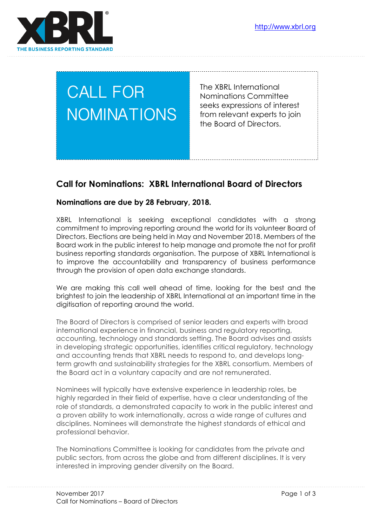

# CALL FOR NOMINATIONS

The XBRL International Nominations Committee seeks expressions of interest from relevant experts to join the Board of Directors.

# **Call for Nominations: XBRL International Board of Directors**

#### **Nominations are due by 28 February, 2018.**

XBRL International is seeking exceptional candidates with a strong commitment to improving reporting around the world for its volunteer Board of Directors. Elections are being held in May and November 2018. Members of the Board work in the public interest to help manage and promote the not for profit business reporting standards organisation. The purpose of XBRL International is to improve the accountability and transparency of business performance through the provision of open data exchange standards.

We are making this call well ahead of time, looking for the best and the brightest to join the leadership of XBRL International at an important time in the digitisation of reporting around the world.

The Board of Directors is comprised of senior leaders and experts with broad international experience in financial, business and regulatory reporting, accounting, technology and standards setting. The Board advises and assists in developing strategic opportunities, identifies critical regulatory, technology and accounting trends that XBRL needs to respond to, and develops longterm growth and sustainability strategies for the XBRL consortium. Members of the Board act in a voluntary capacity and are not remunerated.

Nominees will typically have extensive experience in leadership roles, be highly regarded in their field of expertise, have a clear understanding of the role of standards, a demonstrated capacity to work in the public interest and a proven ability to work internationally, across a wide range of cultures and disciplines. Nominees will demonstrate the highest standards of ethical and professional behavior.

The Nominations Committee is looking for candidates from the private and public sectors, from across the globe and from different disciplines. It is very interested in improving gender diversity on the Board.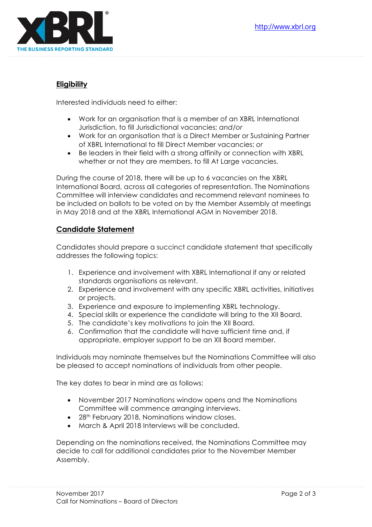

### **Eligibility**

Interested individuals need to either:

- Work for an organisation that is a member of an XBRL International Jurisdiction, to fill Jurisdictional vacancies; *and/or*
- Work for an organisation that is a Direct Member or Sustaining Partner of XBRL International to fill Direct Member vacancies; *or*
- Be leaders in their field with a strong affinity or connection with XBRL whether or not they are members, to fill At Large vacancies.

During the course of 2018, there will be up to 6 vacancies on the XBRL International Board, across all categories of representation. The Nominations Committee will interview candidates and recommend relevant nominees to be included on ballots to be voted on by the Member Assembly at meetings in May 2018 and at the XBRL International AGM in November 2018.

## **Candidate Statement**

Candidates should prepare a succinct candidate statement that specifically addresses the following topics:

- 1. Experience and involvement with XBRL International if any or related standards organisations as relevant.
- 2. Experience and involvement with any specific XBRL activities, initiatives or projects.
- 3. Experience and exposure to implementing XBRL technology.
- 4. Special skills or experience the candidate will bring to the XII Board.
- 5. The candidate's key motivations to join the XII Board.
- 6. Confirmation that the candidate will have sufficient time and, if appropriate, employer support to be an XII Board member.

Individuals may nominate themselves but the Nominations Committee will also be pleased to accept nominations of individuals from other people.

The key dates to bear in mind are as follows:

- November 2017 Nominations window opens and the Nominations Committee will commence arranging interviews.
- 28<sup>th</sup> February 2018, Nominations window closes.
- March & April 2018 Interviews will be concluded.

Depending on the nominations received, the Nominations Committee may decide to call for additional candidates prior to the November Member Assembly.